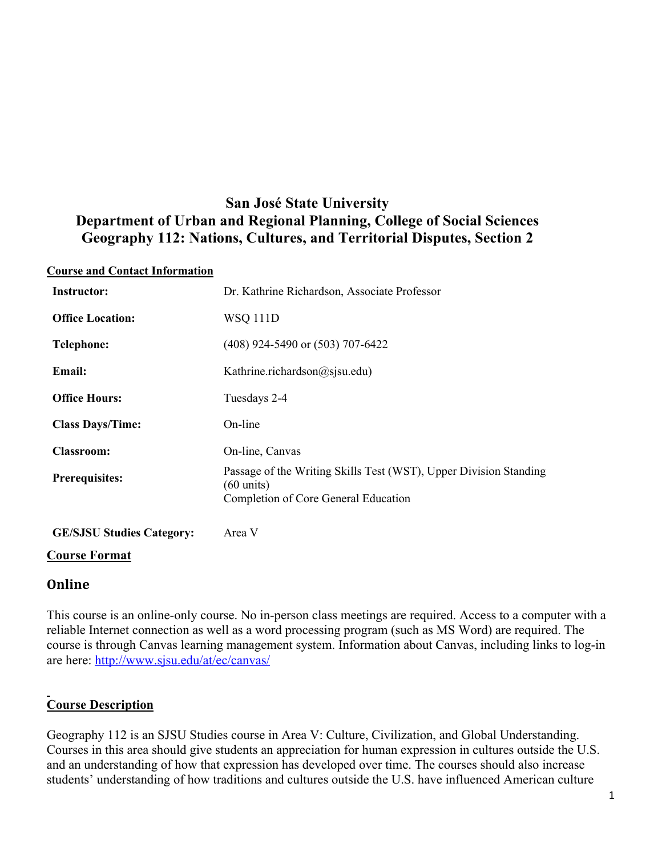# **San José State University Department of Urban and Regional Planning, College of Social Sciences Geography 112: Nations, Cultures, and Territorial Disputes, Section 2**

#### **Course and Contact Information**

| Dr. Kathrine Richardson, Associate Professor                                                                                      |
|-----------------------------------------------------------------------------------------------------------------------------------|
| <b>WSQ 111D</b>                                                                                                                   |
| $(408)$ 924-5490 or $(503)$ 707-6422                                                                                              |
| Kathrine.richardson@sjsu.edu)                                                                                                     |
| Tuesdays 2-4                                                                                                                      |
| On-line                                                                                                                           |
| On-line, Canvas                                                                                                                   |
| Passage of the Writing Skills Test (WST), Upper Division Standing<br>$(60 \text{ units})$<br>Completion of Core General Education |
|                                                                                                                                   |

**GE/SJSU Studies Category:** Area V

### **Course Format**

### **Online**

This course is an online-only course. No in-person class meetings are required. Access to a computer with a reliable Internet connection as well as a word processing program (such as MS Word) are required. The course is through Canvas learning management system. Information about Canvas, including links to log-in are here: http://www.sjsu.edu/at/ec/canvas/

## **Course Description**

Geography 112 is an SJSU Studies course in Area V: Culture, Civilization, and Global Understanding. Courses in this area should give students an appreciation for human expression in cultures outside the U.S. and an understanding of how that expression has developed over time. The courses should also increase students' understanding of how traditions and cultures outside the U.S. have influenced American culture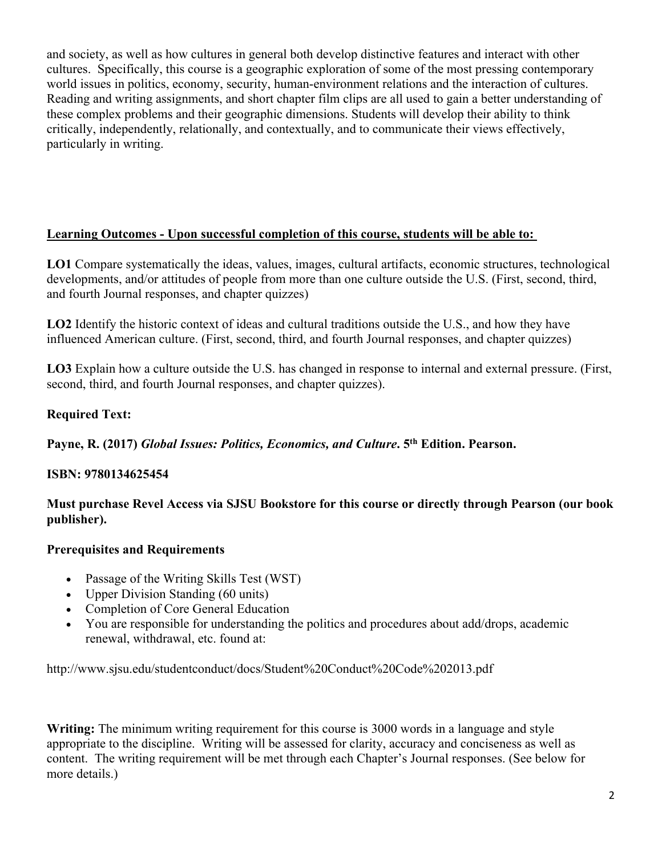and society, as well as how cultures in general both develop distinctive features and interact with other cultures. Specifically, this course is a geographic exploration of some of the most pressing contemporary world issues in politics, economy, security, human-environment relations and the interaction of cultures. Reading and writing assignments, and short chapter film clips are all used to gain a better understanding of these complex problems and their geographic dimensions. Students will develop their ability to think critically, independently, relationally, and contextually, and to communicate their views effectively, particularly in writing.

### **Learning Outcomes - Upon successful completion of this course, students will be able to:**

**LO1** Compare systematically the ideas, values, images, cultural artifacts, economic structures, technological developments, and/or attitudes of people from more than one culture outside the U.S. (First, second, third, and fourth Journal responses, and chapter quizzes)

**LO2** Identify the historic context of ideas and cultural traditions outside the U.S., and how they have influenced American culture. (First, second, third, and fourth Journal responses, and chapter quizzes)

**LO3** Explain how a culture outside the U.S. has changed in response to internal and external pressure. (First, second, third, and fourth Journal responses, and chapter quizzes).

## **Required Text:**

**Payne, R. (2017)** *Global Issues: Politics, Economics, and Culture***. 5th Edition. Pearson.** 

## **ISBN: 9780134625454**

**Must purchase Revel Access via SJSU Bookstore for this course or directly through Pearson (our book publisher).**

## **Prerequisites and Requirements**

- Passage of the Writing Skills Test (WST)
- Upper Division Standing (60 units)
- Completion of Core General Education
- You are responsible for understanding the politics and procedures about add/drops, academic renewal, withdrawal, etc. found at:

http://www.sjsu.edu/studentconduct/docs/Student%20Conduct%20Code%202013.pdf

**Writing:** The minimum writing requirement for this course is 3000 words in a language and style appropriate to the discipline. Writing will be assessed for clarity, accuracy and conciseness as well as content. The writing requirement will be met through each Chapter's Journal responses. (See below for more details.)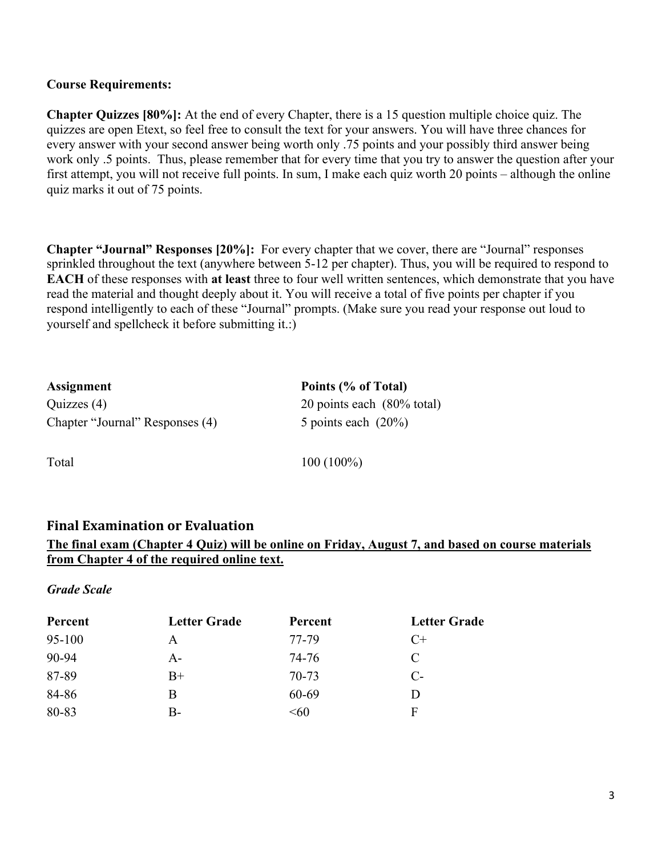#### **Course Requirements:**

**Chapter Quizzes [80%]:** At the end of every Chapter, there is a 15 question multiple choice quiz. The quizzes are open Etext, so feel free to consult the text for your answers. You will have three chances for every answer with your second answer being worth only .75 points and your possibly third answer being work only .5 points. Thus, please remember that for every time that you try to answer the question after your first attempt, you will not receive full points. In sum, I make each quiz worth 20 points – although the online quiz marks it out of 75 points.

**Chapter "Journal" Responses [20%]:** For every chapter that we cover, there are "Journal" responses sprinkled throughout the text (anywhere between 5-12 per chapter). Thus, you will be required to respond to **EACH** of these responses with **at least** three to four well written sentences, which demonstrate that you have read the material and thought deeply about it. You will receive a total of five points per chapter if you respond intelligently to each of these "Journal" prompts. (Make sure you read your response out loud to yourself and spellcheck it before submitting it.:)

| Assignment                      | Points (% of Total)                   |
|---------------------------------|---------------------------------------|
| Quizzes (4)                     | 20 points each $(80\% \text{ total})$ |
| Chapter "Journal" Responses (4) | 5 points each $(20\%)$                |

Total 100 (100%)

### **Final Examination or Evaluation**

### **The final exam (Chapter 4 Quiz) will be online on Friday, August 7, and based on course materials from Chapter 4 of the required online text.**

#### *Grade Scale*

| Percent | <b>Letter Grade</b> | Percent | <b>Letter Grade</b> |
|---------|---------------------|---------|---------------------|
| 95-100  | A                   | 77-79   | $C+$                |
| 90-94   | A-                  | 74-76   | C                   |
| 87-89   | $B+$                | 70-73   | $C-$                |
| 84-86   | B                   | 60-69   |                     |
| 80-83   | B-                  | < 60    | F                   |